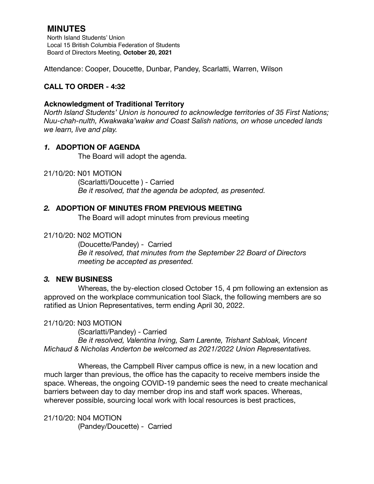# **MINUTES**

North Island Students' Union Local 15 British Columbia Federation of Students Board of Directors Meeting, **October 20, 2021**

Attendance: Cooper, Doucette, Dunbar, Pandey, Scarlatti, Warren, Wilson

## **CALL TO ORDER - 4:32**

### **Acknowledgment of Traditional Territory**

*North Island Students' Union is honoured to acknowledge territories of 35 First Nations; Nuu-chah-nulth, Kwakwaka'wakw and Coast Salish nations, on whose unceded lands we learn, live and play.*

### *1.* **ADOPTION OF AGENDA**

The Board will adopt the agenda.

### 21/10/20: N01 MOTION

 (Scarlatti/Doucette ) - Carried *Be it resolved, that the agenda be adopted, as presented.* 

### *2.* **ADOPTION OF MINUTES FROM PREVIOUS MEETING**

The Board will adopt minutes from previous meeting

### 21/10/20: N02 MOTION

(Doucette/Pandey) - Carried *Be it resolved, that minutes from the September 22 Board of Directors meeting be accepted as presented.* 

### *3.* **NEW BUSINESS**

Whereas, the by-election closed October 15, 4 pm following an extension as approved on the workplace communication tool Slack, the following members are so ratified as Union Representatives, term ending April 30, 2022.

### 21/10/20: N03 MOTION

 (Scarlatti/Pandey) - Carried *Be it resolved, Valentina Irving, Sam Larente, Trishant Sabloak, Vincent Michaud & Nicholas Anderton be welcomed as 2021/2022 Union Representatives.* 

Whereas, the Campbell River campus office is new, in a new location and much larger than previous, the office has the capacity to receive members inside the space. Whereas, the ongoing COVID-19 pandemic sees the need to create mechanical barriers between day to day member drop ins and staff work spaces. Whereas, wherever possible, sourcing local work with local resources is best practices,

21/10/20: N04 MOTION (Pandey/Doucette) - Carried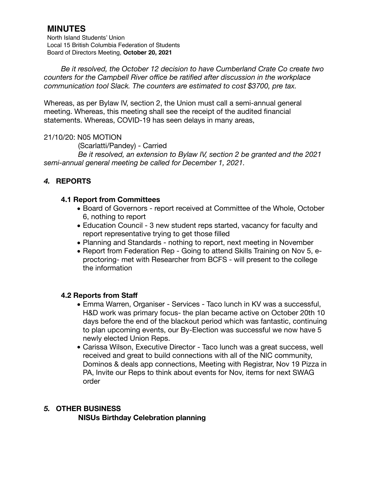# **MINUTES**

North Island Students' Union Local 15 British Columbia Federation of Students Board of Directors Meeting, **October 20, 2021**

*Be it resolved, the October 12 decision to have Cumberland Crate Co create two counters for the Campbell River office be ratified after discussion in the workplace communication tool Slack. The counters are estimated to cost \$3700, pre tax.* 

Whereas, as per Bylaw IV, section 2, the Union must call a semi-annual general meeting. Whereas, this meeting shall see the receipt of the audited financial statements. Whereas, COVID-19 has seen delays in many areas,

### 21/10/20: N05 MOTION

 (Scarlatti/Pandey) - Carried

 *Be it resolved, an extension to Bylaw IV, section 2 be granted and the 2021 semi-annual general meeting be called for December 1, 2021.* 

# *4.* **REPORTS**

### **4.1 Report from Committees**

- *•* Board of Governors report received at Committee of the Whole, October 6, nothing to report
- *•* Education Council 3 new student reps started, vacancy for faculty and report representative trying to get those filled
- *•* Planning and Standards nothing to report, next meeting in November
- *•* Report from Federation Rep Going to attend Skills Training on Nov 5, eproctoring- met with Researcher from BCFS - will present to the college the information

### **4.2 Reports from Staff**

- *•* Emma Warren, Organiser Services Taco lunch in KV was a successful, H&D work was primary focus- the plan became active on October 20th 10 days before the end of the blackout period which was fantastic, continuing to plan upcoming events, our By-Election was successful we now have 5 newly elected Union Reps.
- *•* Carissa Wilson, Executive Director Taco lunch was a great success, well received and great to build connections with all of the NIC community, Dominos & deals app connections, Meeting with Registrar, Nov 19 Pizza in PA, Invite our Reps to think about events for Nov, items for next SWAG order

### *5.* **OTHER BUSINESS**

**NISUs Birthday Celebration planning**